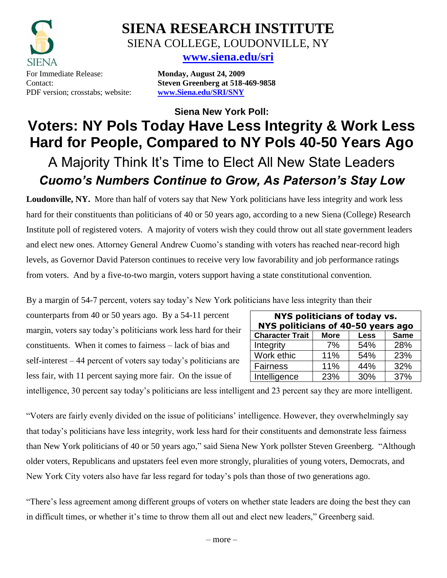

**SIENA RESEARCH INSTITUTE** SIENA COLLEGE, LOUDONVILLE, NY

#### **[www.siena.edu/sri](http://www.siena.edu/sri)**

Contact: **Steven Greenberg at 518-469-9858**  PDF version; crosstabs; website: **www.Siena.edu/SRI/SNY** 

# **Siena New York Poll: Voters: NY Pols Today Have Less Integrity & Work Less Hard for People, Compared to NY Pols 40-50 Years Ago**  A Majority Think It's Time to Elect All New State Leaders *Cuomo's Numbers Continue to Grow, As Paterson's Stay Low*

**Loudonville, NY.** More than half of voters say that New York politicians have less integrity and work less hard for their constituents than politicians of 40 or 50 years ago, according to a new Siena (College) Research Institute poll of registered voters. A majority of voters wish they could throw out all state government leaders and elect new ones. Attorney General Andrew Cuomo's standing with voters has reached near-record high levels, as Governor David Paterson continues to receive very low favorability and job performance ratings from voters. And by a five-to-two margin, voters support having a state constitutional convention.

By a margin of 54-7 percent, voters say today's New York politicians have less integrity than their

counterparts from 40 or 50 years ago. By a 54-11 percent margin, voters say today"s politicians work less hard for their constituents. When it comes to fairness – lack of bias and self-interest – 44 percent of voters say today"s politicians are less fair, with 11 percent saying more fair. On the issue of

| NYS politicians of today vs.<br>NYS politicians of 40-50 years ago |             |             |             |  |  |
|--------------------------------------------------------------------|-------------|-------------|-------------|--|--|
| <b>Character Trait</b>                                             | <b>More</b> | <b>Less</b> | <b>Same</b> |  |  |
| Integrity                                                          | 7%          | 54%         | 28%         |  |  |
| Work ethic                                                         | 11%         | 54%         | 23%         |  |  |
| <b>Fairness</b>                                                    | 11%         | 44%         | 32%         |  |  |
| Intelligence                                                       | 23%         | 30%         | 37%         |  |  |

intelligence, 30 percent say today"s politicians are less intelligent and 23 percent say they are more intelligent.

"Voters are fairly evenly divided on the issue of politicians" intelligence. However, they overwhelmingly say that today"s politicians have less integrity, work less hard for their constituents and demonstrate less fairness than New York politicians of 40 or 50 years ago," said Siena New York pollster Steven Greenberg. "Although older voters, Republicans and upstaters feel even more strongly, pluralities of young voters, Democrats, and New York City voters also have far less regard for today"s pols than those of two generations ago.

"There"s less agreement among different groups of voters on whether state leaders are doing the best they can in difficult times, or whether it's time to throw them all out and elect new leaders," Greenberg said.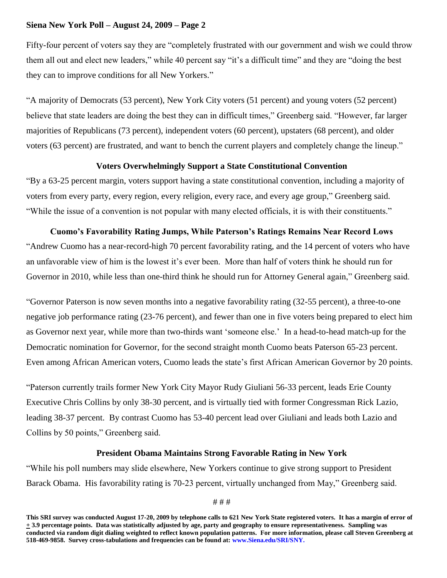#### **Siena New York Poll – August 24, 2009 – Page 2**

Fifty-four percent of voters say they are "completely frustrated with our government and wish we could throw them all out and elect new leaders," while 40 percent say "it"s a difficult time" and they are "doing the best they can to improve conditions for all New Yorkers."

"A majority of Democrats (53 percent), New York City voters (51 percent) and young voters (52 percent) believe that state leaders are doing the best they can in difficult times," Greenberg said. "However, far larger majorities of Republicans (73 percent), independent voters (60 percent), upstaters (68 percent), and older voters (63 percent) are frustrated, and want to bench the current players and completely change the lineup."

#### **Voters Overwhelmingly Support a State Constitutional Convention**

"By a 63-25 percent margin, voters support having a state constitutional convention, including a majority of voters from every party, every region, every religion, every race, and every age group," Greenberg said. "While the issue of a convention is not popular with many elected officials, it is with their constituents."

#### **Cuomo's Favorability Rating Jumps, While Paterson's Ratings Remains Near Record Lows**

"Andrew Cuomo has a near-record-high 70 percent favorability rating, and the 14 percent of voters who have an unfavorable view of him is the lowest it"s ever been. More than half of voters think he should run for Governor in 2010, while less than one-third think he should run for Attorney General again," Greenberg said.

"Governor Paterson is now seven months into a negative favorability rating (32-55 percent), a three-to-one negative job performance rating (23-76 percent), and fewer than one in five voters being prepared to elect him as Governor next year, while more than two-thirds want "someone else." In a head-to-head match-up for the Democratic nomination for Governor, for the second straight month Cuomo beats Paterson 65-23 percent. Even among African American voters, Cuomo leads the state's first African American Governor by 20 points.

"Paterson currently trails former New York City Mayor Rudy Giuliani 56-33 percent, leads Erie County Executive Chris Collins by only 38-30 percent, and is virtually tied with former Congressman Rick Lazio, leading 38-37 percent. By contrast Cuomo has 53-40 percent lead over Giuliani and leads both Lazio and Collins by 50 points," Greenberg said.

#### **President Obama Maintains Strong Favorable Rating in New York**

"While his poll numbers may slide elsewhere, New Yorkers continue to give strong support to President Barack Obama. His favorability rating is 70-23 percent, virtually unchanged from May," Greenberg said.

**This SRI survey was conducted August 17-20, 2009 by telephone calls to 621 New York State registered voters. It has a margin of error of + 3.9 percentage points. Data was statistically adjusted by age, party and geography to ensure representativeness. Sampling was conducted via random digit dialing weighted to reflect known population patterns. For more information, please call Steven Greenberg at 518-469-9858. Survey cross-tabulations and frequencies can be found at: www.Siena.edu/SRI/SNY.**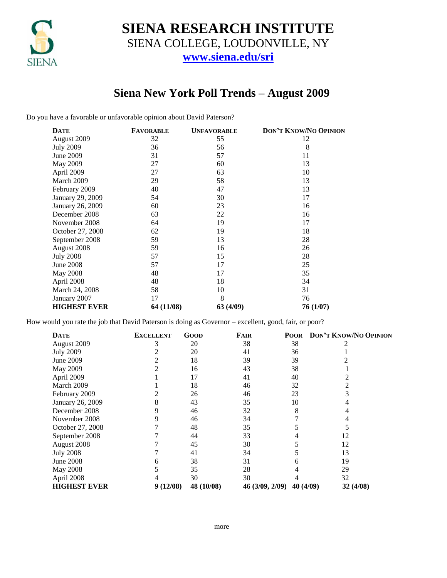

# **SIENA RESEARCH INSTITUTE** SIENA COLLEGE, LOUDONVILLE, NY

**[www.siena.edu/sri](http://www.siena.edu/sri)**

## **Siena New York Poll Trends – August 2009**

Do you have a favorable or unfavorable opinion about David Paterson?

| <b>DATE</b>         | <b>FAVORABLE</b> | <b>UNFAVORABLE</b> | <b>DON'T KNOW/NO OPINION</b> |
|---------------------|------------------|--------------------|------------------------------|
| August 2009         | 32               | 55                 | 12                           |
| <b>July 2009</b>    | 36               | 56                 | 8                            |
| June 2009           | 31               | 57                 | 11                           |
| May 2009            | 27               | 60                 | 13                           |
| April 2009          | 27               | 63                 | 10                           |
| March 2009          | 29               | 58                 | 13                           |
| February 2009       | 40               | 47                 | 13                           |
| January 29, 2009    | 54               | 30                 | 17                           |
| January 26, 2009    | 60               | 23                 | 16                           |
| December 2008       | 63               | 22                 | 16                           |
| November 2008       | 64               | 19                 | 17                           |
| October 27, 2008    | 62               | 19                 | 18                           |
| September 2008      | 59               | 13                 | 28                           |
| August 2008         | 59               | 16                 | 26                           |
| <b>July 2008</b>    | 57               | 15                 | 28                           |
| June 2008           | 57               | 17                 | 25                           |
| May 2008            | 48               | 17                 | 35                           |
| April 2008          | 48               | 18                 | 34                           |
| March 24, 2008      | 58               | 10                 | 31                           |
| January 2007        | 17               | 8                  | 76                           |
| <b>HIGHEST EVER</b> | 64 (11/08)       | 63 (4/09)          | 76 (1/07)                    |

How would you rate the job that David Paterson is doing as Governor – excellent, good, fair, or poor?

| <b>DATE</b>         | <b>EXCELLENT</b> | GOOD       | FAIR            | <b>POOR</b> | <b>DON'T KNOW/NO OPINION</b> |
|---------------------|------------------|------------|-----------------|-------------|------------------------------|
| August 2009         | 3                | 20         | 38              | 38          |                              |
| <b>July 2009</b>    |                  | 20         | 41              | 36          |                              |
| June 2009           | 2                | 18         | 39              | 39          |                              |
| May 2009            | $\mathfrak{D}$   | 16         | 43              | 38          |                              |
| April 2009          |                  | 17         | 41              | 40          |                              |
| March 2009          |                  | 18         | 46              | 32          |                              |
| February 2009       |                  | 26         | 46              | 23          |                              |
| January 26, 2009    | 8                | 43         | 35              | 10          |                              |
| December 2008       | 9                | 46         | 32              | 8           |                              |
| November 2008       | 9                | 46         | 34              |             |                              |
| October 27, 2008    |                  | 48         | 35              |             |                              |
| September 2008      |                  | 44         | 33              |             | 12                           |
| August 2008         |                  | 45         | 30              |             | 12                           |
| <b>July 2008</b>    |                  | 41         | 34              |             | 13                           |
| June 2008           | 6                | 38         | 31              | 6           | 19                           |
| May 2008            |                  | 35         | 28              |             | 29                           |
| April 2008          |                  | 30         | 30              |             | 32                           |
| <b>HIGHEST EVER</b> | 9(12/08)         | 48 (10/08) | 46 (3/09, 2/09) | 40 (4/09)   | 32 (4/08)                    |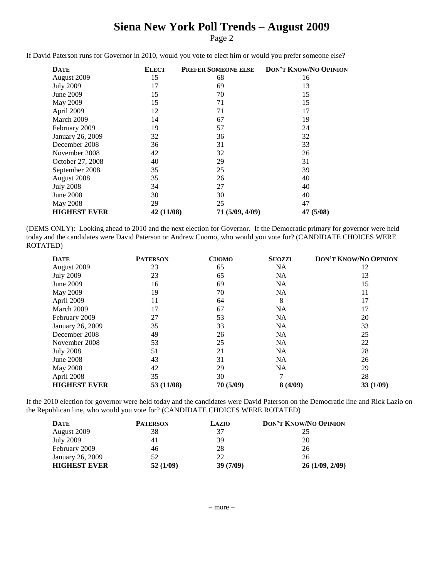Page 2

If David Paterson runs for Governor in 2010, would you vote to elect him or would you prefer someone else?

| <b>DATE</b>         | <b>ELECT</b> | <b>PREFER SOMEONE ELSE</b> | <b>DON'T KNOW/NO OPINION</b> |
|---------------------|--------------|----------------------------|------------------------------|
| August 2009         | 15           | 68                         | 16                           |
| <b>July 2009</b>    | 17           | 69                         | 13                           |
| June 2009           | 15           | 70                         | 15                           |
| May 2009            | 15           | 71                         | 15                           |
| April 2009          | 12           | 71                         | 17                           |
| March 2009          | 14           | 67                         | 19                           |
| February 2009       | 19           | 57                         | 24                           |
| January 26, 2009    | 32           | 36                         | 32                           |
| December 2008       | 36           | 31                         | 33                           |
| November 2008       | 42           | 32                         | 26                           |
| October 27, 2008    | 40           | 29                         | 31                           |
| September 2008      | 35           | 25                         | 39                           |
| August 2008         | 35           | 26                         | 40                           |
| <b>July 2008</b>    | 34           | 27                         | 40                           |
| June 2008           | 30           | 30                         | 40                           |
| May 2008            | 29           | 25                         | 47                           |
| <b>HIGHEST EVER</b> | 42 (11/08)   | 71 (5/09, 4/09)            | 47 (5/08)                    |

(DEMS ONLY): Looking ahead to 2010 and the next election for Governor. If the Democratic primary for governor were held today and the candidates were David Paterson or Andrew Cuomo, who would you vote for? (CANDIDATE CHOICES WERE ROTATED)

| <b>DATE</b>         | <b>PATERSON</b> | <b>CUOMO</b> | <b>SUOZZI</b> | DON'T KNOW/NO OPINION |
|---------------------|-----------------|--------------|---------------|-----------------------|
| August 2009         | 23              | 65           | <b>NA</b>     | 12                    |
| <b>July 2009</b>    | 23              | 65           | <b>NA</b>     | 13                    |
| June 2009           | 16              | 69           | <b>NA</b>     | 15                    |
| May 2009            | 19              | 70           | <b>NA</b>     | 11                    |
| April 2009          | 11              | 64           | 8             | 17                    |
| March 2009          | 17              | 67           | <b>NA</b>     | 17                    |
| February 2009       | 27              | 53           | <b>NA</b>     | 20                    |
| January 26, 2009    | 35              | 33           | <b>NA</b>     | 33                    |
| December 2008       | 49              | 26           | <b>NA</b>     | 25                    |
| November 2008       | 53              | 25           | NA            | 22                    |
| <b>July 2008</b>    | 51              | 21           | <b>NA</b>     | 28                    |
| June 2008           | 43              | 31           | <b>NA</b>     | 26                    |
| May 2008            | 42              | 29           | <b>NA</b>     | 29                    |
| April 2008          | 35              | 30           | 7             | 28                    |
| <b>HIGHEST EVER</b> | 53 (11/08)      | 70 (5/09)    | 8(4/09)       | 33 (1/09)             |

If the 2010 election for governor were held today and the candidates were David Paterson on the Democratic line and Rick Lazio on the Republican line, who would you vote for? (CANDIDATE CHOICES WERE ROTATED)

| <b>DATE</b>         | <b>PATERSON</b> | LAZIO    | <b>DON'T KNOW/NO OPINION</b> |
|---------------------|-----------------|----------|------------------------------|
| August 2009         | 38              | 37       | 25                           |
| July 2009           | 41              | 39       | 20                           |
| February 2009       | 46              | 28       | 26                           |
| January 26, 2009    | 52              | 22       | 26                           |
| <b>HIGHEST EVER</b> | 52(1/09)        | 39(7/09) | 26(1/09, 2/09)               |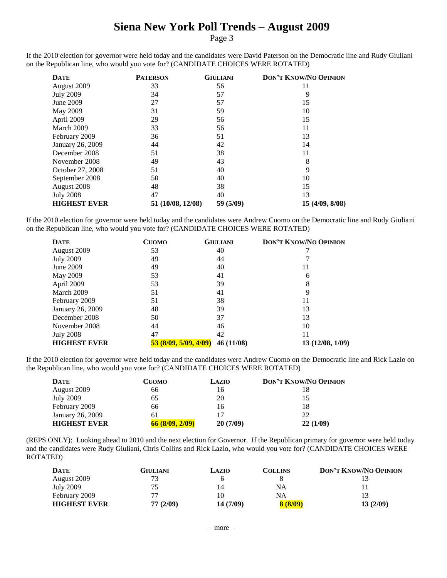Page 3

If the 2010 election for governor were held today and the candidates were David Paterson on the Democratic line and Rudy Giuliani on the Republican line, who would you vote for? (CANDIDATE CHOICES WERE ROTATED)

| <b>DATE</b>         | <b>PATERSON</b>   | <b>GIULIANI</b> | <b>DON'T KNOW/NO OPINION</b> |
|---------------------|-------------------|-----------------|------------------------------|
| August 2009         | 33                | 56              | 11                           |
| <b>July 2009</b>    | 34                | 57              | 9                            |
| June 2009           | 27                | 57              | 15                           |
| May 2009            | 31                | 59              | 10                           |
| April 2009          | 29                | 56              | 15                           |
| March 2009          | 33                | 56              | 11                           |
| February 2009       | 36                | 51              | 13                           |
| January 26, 2009    | 44                | 42              | 14                           |
| December 2008       | 51                | 38              | 11                           |
| November 2008       | 49                | 43              | 8                            |
| October 27, 2008    | 51                | 40              | 9                            |
| September 2008      | 50                | 40              | 10                           |
| August 2008         | 48                | 38              | 15                           |
| <b>July 2008</b>    | 47                | 40              | 13                           |
| <b>HIGHEST EVER</b> | 51 (10/08, 12/08) | 59 (5/09)       | 15 (4/09, 8/08)              |

If the 2010 election for governor were held today and the candidates were Andrew Cuomo on the Democratic line and Rudy Giuliani on the Republican line, who would you vote for? (CANDIDATE CHOICES WERE ROTATED)

| <b>DATE</b>         | <b>CUOMO</b>          | <b>GIULIANI</b> | <b>DON'T KNOW/NO OPINION</b> |
|---------------------|-----------------------|-----------------|------------------------------|
| August 2009         | 53                    | 40              |                              |
| <b>July 2009</b>    | 49                    | 44              |                              |
| June 2009           | 49                    | 40              | 11                           |
| May 2009            | 53                    | 41              | 6                            |
| April 2009          | 53                    | 39              | 8                            |
| March 2009          | 51                    | 41              | 9                            |
| February 2009       | 51                    | 38              | 11                           |
| January 26, 2009    | 48                    | 39              | 13                           |
| December 2008       | 50                    | 37              | 13                           |
| November 2008       | 44                    | 46              | 10                           |
| <b>July 2008</b>    | 47                    | 42              | 11                           |
| <b>HIGHEST EVER</b> | 53 (8/09, 5/09, 4/09) | 46 (11/08)      | 13(12/08, 1/09)              |

If the 2010 election for governor were held today and the candidates were Andrew Cuomo on the Democratic line and Rick Lazio on the Republican line, who would you vote for? (CANDIDATE CHOICES WERE ROTATED)

| <b>DATE</b>         | <b>CUOMO</b>    | LAZIO    | <b>DON'T KNOW/NO OPINION</b> |
|---------------------|-----------------|----------|------------------------------|
| August 2009         | 66              | 16       |                              |
| <b>July 2009</b>    | 65              | 20       |                              |
| February 2009       | 66              | 16       | 18                           |
| January 26, 2009    |                 |          | 22                           |
| <b>HIGHEST EVER</b> | 66 (8/09, 2/09) | 20(7/09) | 22(1/09)                     |

(REPS ONLY): Looking ahead to 2010 and the next election for Governor. If the Republican primary for governor were held today and the candidates were Rudy Giuliani, Chris Collins and Rick Lazio, who would you vote for? (CANDIDATE CHOICES WERE ROTATED)

| <b>DATE</b>         | GIULIANI  | <b>LAZIO</b> | <b>COLLINS</b> | <b>DON'T KNOW/NO OPINION</b> |
|---------------------|-----------|--------------|----------------|------------------------------|
| August 2009         |           |              |                |                              |
| <b>July 2009</b>    | 75        | 14           | <b>NA</b>      |                              |
| February 2009       |           | 10           | NA             |                              |
| <b>HIGHEST EVER</b> | 77 (2/09) | 14 (7/09)    | 8(8/09)        | 13(2/09)                     |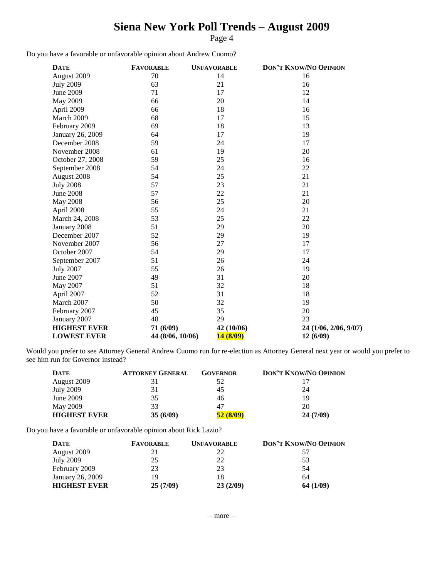Page 4

Do you have a favorable or unfavorable opinion about Andrew Cuomo?

| <b>DATE</b>         | <b>FAVORABLE</b> | <b>UNFAVORABLE</b> | DON'T KNOW/NO OPINION |
|---------------------|------------------|--------------------|-----------------------|
| August 2009         | 70               | 14                 | 16                    |
| <b>July 2009</b>    | 63               | 21                 | 16                    |
| June 2009           | 71               | 17                 | 12                    |
| May 2009            | 66               | 20                 | 14                    |
| April 2009          | 66               | 18                 | 16                    |
| March 2009          | 68               | 17                 | 15                    |
| February 2009       | 69               | 18                 | 13                    |
| January 26, 2009    | 64               | 17                 | 19                    |
| December 2008       | 59               | 24                 | 17                    |
| November 2008       | 61               | 19                 | 20                    |
| October 27, 2008    | 59               | 25                 | 16                    |
| September 2008      | 54               | 24                 | 22                    |
| August 2008         | 54               | 25                 | 21                    |
| <b>July 2008</b>    | 57               | 23                 | 21                    |
| June 2008           | 57               | 22                 | 21                    |
| <b>May 2008</b>     | 56               | 25                 | 20                    |
| April 2008          | 55               | 24                 | 21                    |
| March 24, 2008      | 53               | 25                 | 22                    |
| January 2008        | 51               | 29                 | 20                    |
| December 2007       | 52               | 29                 | 19                    |
| November 2007       | 56               | 27                 | 17                    |
| October 2007        | 54               | 29                 | 17                    |
| September 2007      | 51               | 26                 | 24                    |
| <b>July 2007</b>    | 55               | 26                 | 19                    |
| June 2007           | 49               | 31                 | 20                    |
| May 2007            | 51               | 32                 | 18                    |
| April 2007          | 52               | 31                 | 18                    |
| March 2007          | 50               | 32                 | 19                    |
| February 2007       | 45               | 35                 | 20                    |
| January 2007        | 48               | 29                 | 23                    |
| <b>HIGHEST EVER</b> | 71 (6/09)        | 42 (10/06)         | 24 (1/06, 2/06, 9/07) |
| <b>LOWEST EVER</b>  | 44 (8/06, 10/06) | 14(8/09)           | 12 (6/09)             |

Would you prefer to see Attorney General Andrew Cuomo run for re-election as Attorney General next year or would you prefer to see him run for Governor instead?

| <b>DATE</b>         | <b>ATTORNEY GENERAL</b> | <b>GOVERNOR</b> | <b>DON'T KNOW/NO OPINION</b> |
|---------------------|-------------------------|-----------------|------------------------------|
| August 2009         | 31                      |                 |                              |
| July 2009           | 31                      | 45              | 24                           |
| June 2009           | 35                      | 46              | 19                           |
| May 2009            | 33                      | 47              | 20                           |
| <b>HIGHEST EVER</b> | 35(6/09)                | 52(8/09)        | 24 (7/09)                    |

Do you have a favorable or unfavorable opinion about Rick Lazio?

| <b>DATE</b>         | <b>FAVORABLE</b> | <b>UNFAVORABLE</b> | <b>DON'T KNOW/NO OPINION</b> |
|---------------------|------------------|--------------------|------------------------------|
| August 2009         | 21               | 22                 | 57                           |
| July 2009           | 25               | 22                 | 53                           |
| February 2009       | 23               | 23                 | 54                           |
| January 26, 2009    | 19               | 18                 | 64                           |
| <b>HIGHEST EVER</b> | 25(7/09)         | 23(2/09)           | 64 (1/09)                    |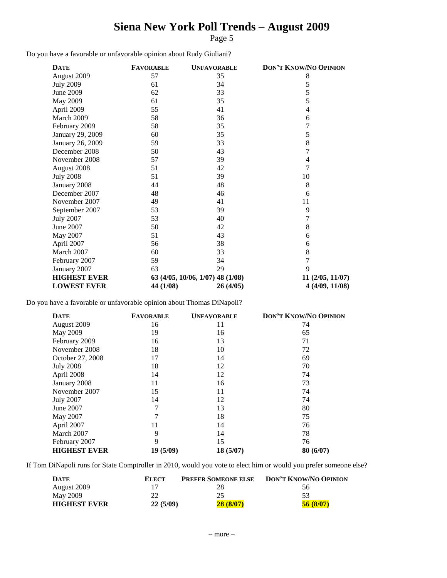Page 5

Do you have a favorable or unfavorable opinion about Rudy Giuliani?

| <b>DATE</b>         | <b>FAVORABLE</b> | <b>UNFAVORABLE</b>               | DON'T KNOW/NO OPINION |
|---------------------|------------------|----------------------------------|-----------------------|
| August 2009         | 57               | 35                               | 8                     |
| <b>July 2009</b>    | 61               | 34                               | 5                     |
| June 2009           | 62               | 33                               | 5                     |
| May 2009            | 61               | 35                               | 5                     |
| April 2009          | 55               | 41                               | 4                     |
| March 2009          | 58               | 36                               | 6                     |
| February 2009       | 58               | 35                               | $\overline{7}$        |
| January 29, 2009    | 60               | 35                               | 5                     |
| January 26, 2009    | 59               | 33                               | 8                     |
| December 2008       | 50               | 43                               | 7                     |
| November 2008       | 57               | 39                               | 4                     |
| August 2008         | 51               | 42                               | 7                     |
| <b>July 2008</b>    | 51               | 39                               | 10                    |
| January 2008        | 44               | 48                               | 8                     |
| December 2007       | 48               | 46                               | 6                     |
| November 2007       | 49               | 41                               | 11                    |
| September 2007      | 53               | 39                               | 9                     |
| <b>July 2007</b>    | 53               | 40                               | 7                     |
| June 2007           | 50               | 42                               | 8                     |
| May 2007            | 51               | 43                               | 6                     |
| April 2007          | 56               | 38                               | 6                     |
| March 2007          | 60               | 33                               | 8                     |
| February 2007       | 59               | 34                               | $\overline{7}$        |
| January 2007        | 63               | 29                               | 9                     |
| <b>HIGHEST EVER</b> |                  | 63 (4/05, 10/06, 1/07) 48 (1/08) | 11(2/05, 11/07)       |
| <b>LOWEST EVER</b>  | 44 (1/08)        | 26(4/05)                         | 4 (4/09, 11/08)       |

Do you have a favorable or unfavorable opinion about Thomas DiNapoli?

| <b>DATE</b>         | <b>FAVORABLE</b> | <b>UNFAVORABLE</b> | <b>DON'T KNOW/NO OPINION</b> |
|---------------------|------------------|--------------------|------------------------------|
| August 2009         | 16               | 11                 | 74                           |
| May 2009            | 19               | 16                 | 65                           |
| February 2009       | 16               | 13                 | 71                           |
| November 2008       | 18               | 10                 | 72                           |
| October 27, 2008    | 17               | 14                 | 69                           |
| <b>July 2008</b>    | 18               | 12                 | 70                           |
| April 2008          | 14               | 12                 | 74                           |
| January 2008        | 11               | 16                 | 73                           |
| November 2007       | 15               | 11                 | 74                           |
| <b>July 2007</b>    | 14               | 12                 | 74                           |
| June 2007           | 7                | 13                 | 80                           |
| May 2007            |                  | 18                 | 75                           |
| April 2007          | 11               | 14                 | 76                           |
| March 2007          | 9                | 14                 | 78                           |
| February 2007       | 9                | 15                 | 76                           |
| <b>HIGHEST EVER</b> | 19(5/09)         | 18(5/07)           | 80 (6/07)                    |

If Tom DiNapoli runs for State Comptroller in 2010, would you vote to elect him or would you prefer someone else?

| <b>DATE</b>         | <b>ELECT</b> | <b>PREFER SOMEONE ELSE</b> | DON'T KNOW/NO OPINION |
|---------------------|--------------|----------------------------|-----------------------|
| August 2009         |              |                            | 56                    |
| May 2009            | 22           |                            | 53                    |
| <b>HIGHEST EVER</b> | 22(5/09)     | 28(8/07)                   | 56(8/07)              |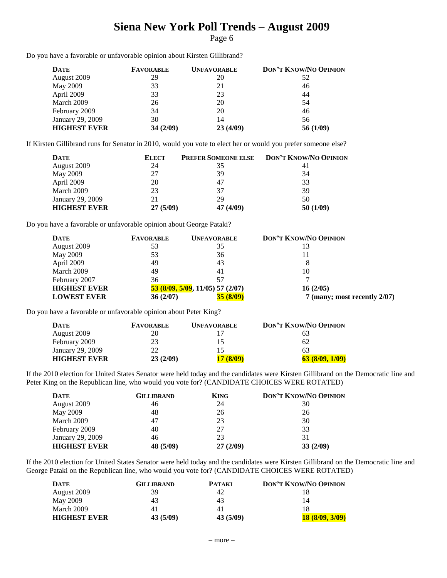Page 6

Do you have a favorable or unfavorable opinion about Kirsten Gillibrand?

| <b>DATE</b>         | <b>FAVORABLE</b> | <b>UNFAVORABLE</b> | <b>DON'T KNOW/NO OPINION</b> |
|---------------------|------------------|--------------------|------------------------------|
| August 2009         | 29               | 20                 | 52                           |
| May 2009            | 33               | 21                 | 46                           |
| April 2009          | 33               | 23                 | 44                           |
| March 2009          | 26               | 20                 | 54                           |
| February 2009       | 34               | 20                 | 46                           |
| January 29, 2009    | 30               | 14                 | 56                           |
| <b>HIGHEST EVER</b> | 34 (2/09)        | 23 (4/09)          | 56 (1/09)                    |

If Kirsten Gillibrand runs for Senator in 2010, would you vote to elect her or would you prefer someone else?

| <b>DATE</b>         | <b>ELECT</b> | <b>PREFER SOMEONE ELSE</b> | <b>DON'T KNOW/NO OPINION</b> |
|---------------------|--------------|----------------------------|------------------------------|
| August 2009         | 24           | 35                         | 41                           |
| May 2009            | 27           | 39                         | 34                           |
| April 2009          | 20           | 47                         | 33                           |
| March 2009          | 23           | 37                         | 39                           |
| January 29, 2009    | 21           | 29                         | 50                           |
| <b>HIGHEST EVER</b> | 27(5/09)     | 47 (4/09)                  | 50(1/09)                     |

Do you have a favorable or unfavorable opinion about George Pataki?

| <b>DATE</b>         | <b>FAVORABLE</b> | <b>UNFAVORABLE</b>                | <b>DON'T KNOW/NO OPINION</b>    |
|---------------------|------------------|-----------------------------------|---------------------------------|
| August 2009         | 53               | 35                                |                                 |
| May 2009            | 53               | 36                                |                                 |
| April 2009          | 49               | 43                                | 8                               |
| March 2009          | 49               | 41                                | 10                              |
| February 2007       | 36               | 57                                |                                 |
| <b>HIGHEST EVER</b> |                  | $53(8/09, 5/09, 11/05)$ 57 (2/07) | 16(2/05)                        |
| <b>LOWEST EVER</b>  | 36(2/07)         | 35(8/09)                          | 7 (many; most recently $2/07$ ) |

Do you have a favorable or unfavorable opinion about Peter King?

| <b>DATE</b>         | <b>FAVORABLE</b> | <b>UNFAVORABLE</b> | <b>DON'T KNOW/NO OPINION</b> |
|---------------------|------------------|--------------------|------------------------------|
| August 2009         | 20               |                    | 63                           |
| February 2009       | 23               | יי                 | 62                           |
| January 29, 2009    | 22               | י                  | 63                           |
| <b>HIGHEST EVER</b> | 23(2/09)         | 17(8/09)           | <b>63 (8/09, 1/09)</b>       |

If the 2010 election for United States Senator were held today and the candidates were Kirsten Gillibrand on the Democratic line and Peter King on the Republican line, who would you vote for? (CANDIDATE CHOICES WERE ROTATED)

| <b>DATE</b>         | GILLIBRAND | <b>KING</b> | <b>DON'T KNOW/NO OPINION</b> |
|---------------------|------------|-------------|------------------------------|
| August 2009         | 46         | 24          | 30                           |
| May 2009            | 48         | 26          | 26                           |
| March 2009          | 47         | 23          | 30                           |
| February 2009       | 40         | 27          | 33                           |
| January 29, 2009    | 46         | 23          | 31                           |
| <b>HIGHEST EVER</b> | 48 (5/09)  | 27(2/09)    | 33(2/09)                     |

If the 2010 election for United States Senator were held today and the candidates were Kirsten Gillibrand on the Democratic line and George Pataki on the Republican line, who would you vote for? (CANDIDATE CHOICES WERE ROTATED)

| <b>DATE</b>         | <b>GILLIBRAND</b> | <b>PATAKI</b> | <b>DON'T KNOW/NO OPINION</b> |
|---------------------|-------------------|---------------|------------------------------|
| August 2009         | 39                | 42            |                              |
| May 2009            | 43                | 43            | 14                           |
| March 2009          |                   | 41            | 18                           |
| <b>HIGHEST EVER</b> | 43(5/09)          | 43 (5/09)     | <b>18 (8/09, 3/09)</b>       |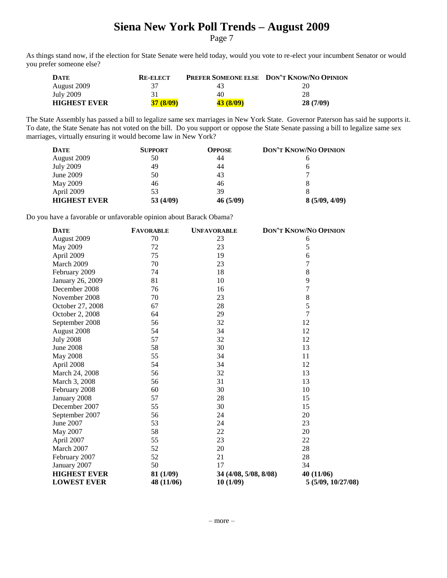Page 7

As things stand now, if the election for State Senate were held today, would you vote to re-elect your incumbent Senator or would you prefer someone else?

| <b>DATE</b>         | <b>RE-ELECT</b>  |                  | <b>PREFER SOMEONE ELSE DON'T KNOW/NO OPINION</b> |
|---------------------|------------------|------------------|--------------------------------------------------|
| August 2009         |                  | 43               | 20                                               |
| July 2009           |                  | 40               | 28                                               |
| <b>HIGHEST EVER</b> | <b>37 (8/09)</b> | <b>43 (8/09)</b> | 28(7/09)                                         |

The State Assembly has passed a bill to legalize same sex marriages in New York State. Governor Paterson has said he supports it. To date, the State Senate has not voted on the bill. Do you support or oppose the State Senate passing a bill to legalize same sex marriages, virtually ensuring it would become law in New York?

| <b>DATE</b>         | <b>SUPPORT</b> | <b>OPPOSE</b> | <b>DON'T KNOW/NO OPINION</b> |
|---------------------|----------------|---------------|------------------------------|
| August 2009         | 50             | 44            |                              |
| July 2009           | 49             | 44            |                              |
| June 2009           | 50             | 43            |                              |
| May 2009            | 46             | 46            |                              |
| April 2009          | 53             | 39            |                              |
| <b>HIGHEST EVER</b> | 53 $(4/09)$    | 46 (5/09)     | 8(5/09, 4/09)                |

Do you have a favorable or unfavorable opinion about Barack Obama?

| <b>DATE</b>         | <b>FAVORABLE</b> | <b>UNFAVORABLE</b>    | <b>DON'T KNOW/NO OPINION</b> |
|---------------------|------------------|-----------------------|------------------------------|
| August 2009         | 70               | 23                    | 6                            |
| May 2009            | 72               | 23                    | 5                            |
| April 2009          | 75               | 19                    | 6                            |
| March 2009          | 70               | 23                    | 7                            |
| February 2009       | 74               | 18                    | 8                            |
| January 26, 2009    | 81               | 10                    | 9                            |
| December 2008       | 76               | 16                    | 7                            |
| November 2008       | 70               | 23                    | 8                            |
| October 27, 2008    | 67               | 28                    | 5                            |
| October 2, 2008     | 64               | 29                    | 7                            |
| September 2008      | 56               | 32                    | 12                           |
| August 2008         | 54               | 34                    | 12                           |
| <b>July 2008</b>    | 57               | 32                    | 12                           |
| <b>June 2008</b>    | 58               | 30                    | 13                           |
| <b>May 2008</b>     | 55               | 34                    | 11                           |
| April 2008          | 54               | 34                    | 12                           |
| March 24, 2008      | 56               | 32                    | 13                           |
| March 3, 2008       | 56               | 31                    | 13                           |
| February 2008       | 60               | 30                    | 10                           |
| January 2008        | 57               | 28                    | 15                           |
| December 2007       | 55               | 30                    | 15                           |
| September 2007      | 56               | 24                    | 20                           |
| June 2007           | 53               | 24                    | 23                           |
| May 2007            | 58               | 22                    | 20                           |
| April 2007          | 55               | 23                    | 22                           |
| March 2007          | 52               | 20                    | 28                           |
| February 2007       | 52               | 21                    | 28                           |
| January 2007        | 50               | 17                    | 34                           |
| <b>HIGHEST EVER</b> | 81 (1/09)        | 34 (4/08, 5/08, 8/08) | 40 (11/06)                   |
| <b>LOWEST EVER</b>  | 48 (11/06)       | 10(1/09)              | 5 (5/09, 10/27/08)           |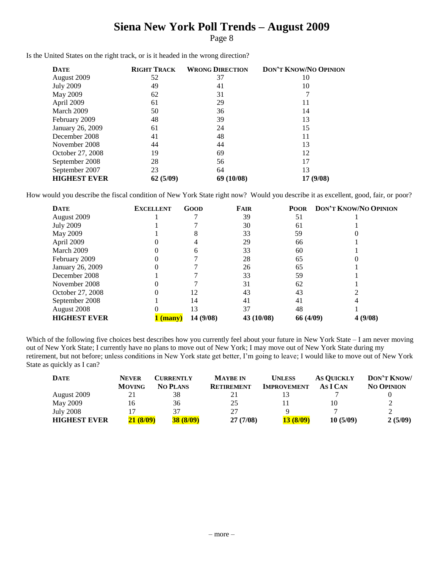Page 8

Is the United States on the right track, or is it headed in the wrong direction?

| <b>DATE</b>         | <b>RIGHT TRACK</b> | <b>WRONG DIRECTION</b> | <b>DON'T KNOW/NO OPINION</b> |
|---------------------|--------------------|------------------------|------------------------------|
| August 2009         | 52                 | 37                     | 10                           |
| <b>July 2009</b>    | 49                 | 41                     | 10                           |
| May 2009            | 62                 | 31                     | 7                            |
| April 2009          | 61                 | 29                     | 11                           |
| March 2009          | 50                 | 36                     | 14                           |
| February 2009       | 48                 | 39                     | 13                           |
| January 26, 2009    | 61                 | 24                     | 15                           |
| December 2008       | 41                 | 48                     | 11                           |
| November 2008       | 44                 | 44                     | 13                           |
| October 27, 2008    | 19                 | 69                     | 12                           |
| September 2008      | 28                 | 56                     | 17                           |
| September 2007      | 23                 | 64                     | 13                           |
| <b>HIGHEST EVER</b> | 62(5/09)           | 69 (10/08)             | 17 (9/08)                    |

How would you describe the fiscal condition of New York State right now? Would you describe it as excellent, good, fair, or poor?

| <b>DATE</b>         | <b>EXCELLENT</b> | <b>GOOD</b> | <b>FAIR</b> | <b>POOR</b> | <b>DON'T KNOW/NO OPINION</b> |
|---------------------|------------------|-------------|-------------|-------------|------------------------------|
| August 2009         |                  |             | 39          | 51          |                              |
| <b>July 2009</b>    |                  |             | 30          | 61          |                              |
| May 2009            |                  |             | 33          | 59          |                              |
| April 2009          |                  |             | 29          | 66          |                              |
| March 2009          |                  |             | 33          | 60          |                              |
| February 2009       |                  |             | 28          | 65          |                              |
| January 26, 2009    |                  |             | 26          | 65          |                              |
| December 2008       |                  |             | 33          | 59          |                              |
| November 2008       |                  |             | 31          | 62          |                              |
| October 27, 2008    |                  | 12          | 43          | 43          |                              |
| September 2008      |                  | 14          | 41          | 41          |                              |
| August 2008         |                  |             | 37          | 48          |                              |
| <b>HIGHEST EVER</b> | (many)           | 14 (9/08)   | 43 (10/08)  | 66 (4/09)   | 4(9/08)                      |

Which of the following five choices best describes how you currently feel about your future in New York State – I am never moving out of New York State; I currently have no plans to move out of New York; I may move out of New York State during my retirement, but not before; unless conditions in New York state get better, I"m going to leave; I would like to move out of New York State as quickly as I can?

| <b>DATE</b>         | <b>NEVER</b><br><b>MOVING</b> | CURRENTLY<br><b>NO PLANS</b> | <b>MAYBE IN</b><br><b>RETIREMENT</b> | <b>UNLESS</b><br><b>IMPROVEMENT</b> | <b>AS OUICKLY</b><br><b>ASI</b> CAN | <b>DON'T KNOW</b><br><b>NO OPINION</b> |
|---------------------|-------------------------------|------------------------------|--------------------------------------|-------------------------------------|-------------------------------------|----------------------------------------|
| August 2009         |                               | 38                           |                                      |                                     |                                     |                                        |
| May 2009            | 16                            | 36                           | 25                                   |                                     |                                     |                                        |
| July 2008           |                               | 37                           | 27                                   |                                     |                                     |                                        |
| <b>HIGHEST EVER</b> | 21(8/09)                      | <b>38 (8/09)</b>             | 27(7/08)                             | 13(8/09)                            | 10(5/09)                            | 2(5/09)                                |